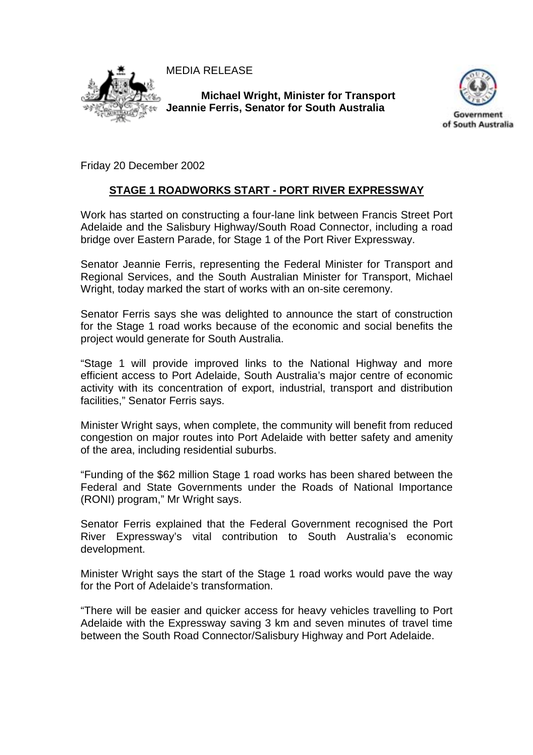MEDIA RELEASE



**Michael Wright, Minister for Transport Jeannie Ferris, Senator for South Australia** 



Friday 20 December 2002

## **STAGE 1 ROADWORKS START - PORT RIVER EXPRESSWAY**

Work has started on constructing a four-lane link between Francis Street Port Adelaide and the Salisbury Highway/South Road Connector, including a road bridge over Eastern Parade, for Stage 1 of the Port River Expressway.

Senator Jeannie Ferris, representing the Federal Minister for Transport and Regional Services, and the South Australian Minister for Transport, Michael Wright, today marked the start of works with an on-site ceremony.

Senator Ferris says she was delighted to announce the start of construction for the Stage 1 road works because of the economic and social benefits the project would generate for South Australia.

"Stage 1 will provide improved links to the National Highway and more efficient access to Port Adelaide, South Australia's major centre of economic activity with its concentration of export, industrial, transport and distribution facilities," Senator Ferris says.

Minister Wright says, when complete, the community will benefit from reduced congestion on major routes into Port Adelaide with better safety and amenity of the area, including residential suburbs.

"Funding of the \$62 million Stage 1 road works has been shared between the Federal and State Governments under the Roads of National Importance (RONI) program," Mr Wright says.

Senator Ferris explained that the Federal Government recognised the Port River Expressway's vital contribution to South Australia's economic development.

Minister Wright says the start of the Stage 1 road works would pave the way for the Port of Adelaide's transformation.

"There will be easier and quicker access for heavy vehicles travelling to Port Adelaide with the Expressway saving 3 km and seven minutes of travel time between the South Road Connector/Salisbury Highway and Port Adelaide.